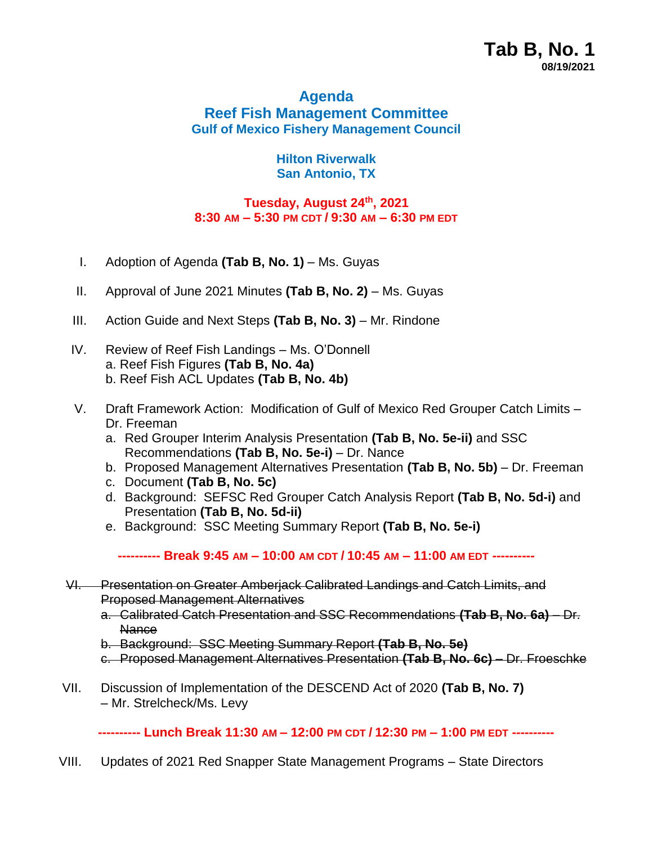## **Agenda Reef Fish Management Committee Gulf of Mexico Fishery Management Council**

## **Hilton Riverwalk San Antonio, TX**

## **Tuesday, August 24th , 2021 8:30 AM – 5:30 PM CDT / 9:30 AM – 6:30 PM EDT**

- I. Adoption of Agenda **(Tab B, No. 1)** Ms. Guyas
- II. Approval of June 2021 Minutes (Tab B, No. 2) Ms. Guyas
- III. Action Guide and Next Steps (Tab B, No. 3) Mr. Rindone
- IV. Review of Reef Fish Landings Ms. O'Donnell a. Reef Fish Figures **(Tab B, No. 4a)** b. Reef Fish ACL Updates **(Tab B, No. 4b)**
- V. Draft Framework Action: Modification of Gulf of Mexico Red Grouper Catch Limits Dr. Freeman
	- a. Red Grouper Interim Analysis Presentation **(Tab B, No. 5e-ii)** and SSC Recommendations **(Tab B, No. 5e-i)** – Dr. Nance
	- b. Proposed Management Alternatives Presentation **(Tab B, No. 5b)** Dr. Freeman
	- c. Document **(Tab B, No. 5c)**
	- d. Background: SEFSC Red Grouper Catch Analysis Report **(Tab B, No. 5d-i)** and Presentation **(Tab B, No. 5d-ii)**
	- e. Background: SSC Meeting Summary Report **(Tab B, No. 5e-i)**

**---------- Break 9:45 AM – 10:00 AM CDT / 10:45 AM – 11:00 AM EDT ----------**

- VI. Presentation on Greater Amberjack Calibrated Landings and Catch Limits, and Proposed Management Alternatives
	- a. Calibrated Catch Presentation and SSC Recommendations **(Tab B, No. 6a)** Dr. **Nance**
	- b. Background: SSC Meeting Summary Report **(Tab B, No. 5e)**
	- c. Proposed Management Alternatives Presentation **(Tab B, No. 6c)** Dr. Froeschke
- VII. Discussion of Implementation of the DESCEND Act of 2020 **(Tab B, No. 7)** – Mr. Strelcheck/Ms. Levy

**---------- Lunch Break 11:30 AM – 12:00 PM CDT / 12:30 PM – 1:00 PM EDT ----------**

VIII. Updates of 2021 Red Snapper State Management Programs – State Directors